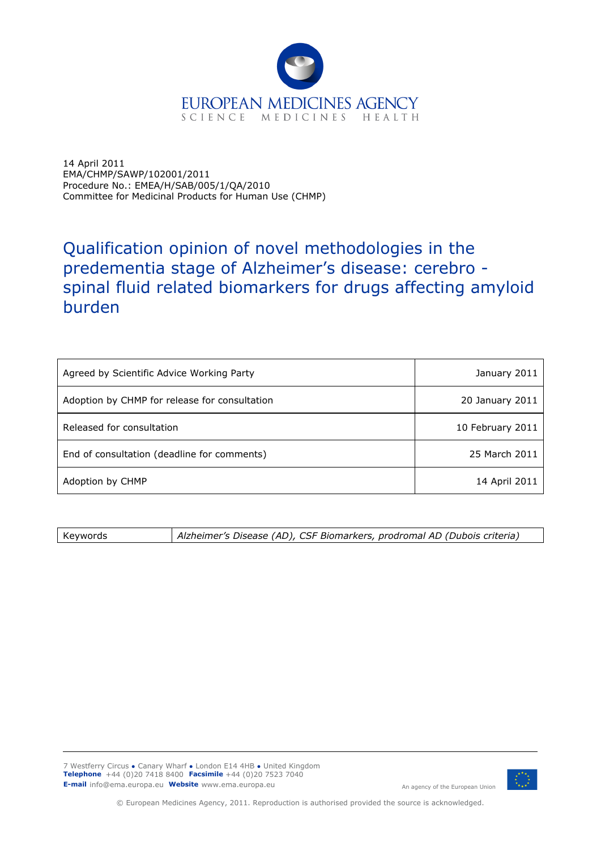

14 April 2011 EMA/CHMP/SAWP/102001/2011 Procedure No.: EMEA/H/SAB/005/1/QA/2010 Committee for Medicinal Products for Human Use (CHMP)

## Qualification opinion of novel methodologies in the predementia stage of Alzheimer's disease: cerebro spinal fluid related biomarkers for drugs affecting amyloid burden

| Agreed by Scientific Advice Working Party     | January 2011     |
|-----------------------------------------------|------------------|
| Adoption by CHMP for release for consultation | 20 January 2011  |
| Released for consultation                     | 10 February 2011 |
| End of consultation (deadline for comments)   | 25 March 2011    |
| Adoption by CHMP                              | 14 April 2011    |

Keywords *Alzheimer's Disease (AD), CSF Biomarkers, prodromal AD (Dubois criteria)*

7 Westferry Circus **●** Canary Wharf **●** London E14 4HB **●** United Kingdom **Telephone** +44 (0)20 7418 8400 **Facsimile** +44 (0)20 7523 7040 **E-mail** info@ema.europa.eu Website www.ema.europa.eu An agency of the European Union



© European Medicines Agency, 2011. Reproduction is authorised provided the source is acknowledged.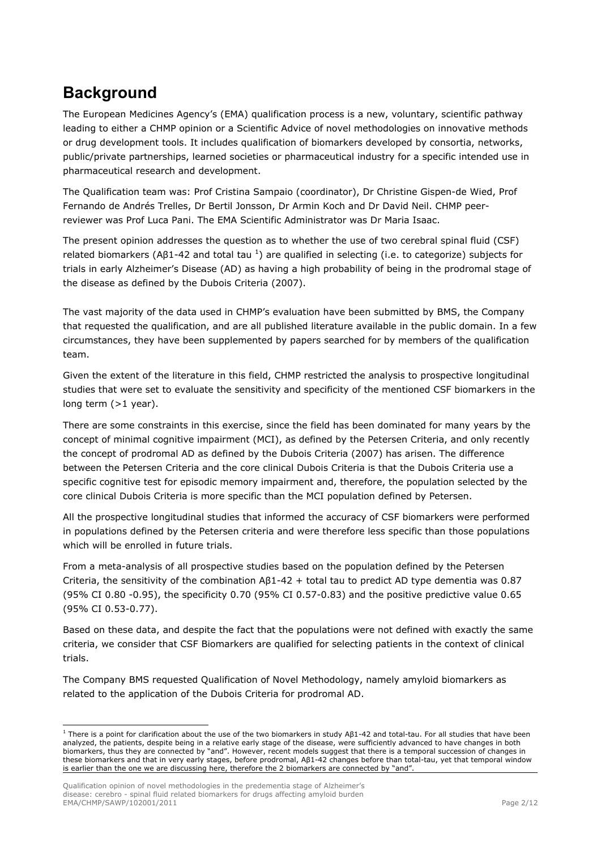## **Background**

The European Medicines Agency's (EMA) qualification process is a new, voluntary, scientific pathway leading to either a CHMP opinion or a Scientific Advice of novel methodologies on innovative methods or drug development tools. It includes qualification of biomarkers developed by consortia, networks, public/private partnerships, learned societies or pharmaceutical industry for a specific intended use in pharmaceutical research and development.

The Qualification team was: Prof Cristina Sampaio (coordinator), Dr Christine Gispen-de Wied, Prof Fernando de Andrés Trelles, Dr Bertil Jonsson, Dr Armin Koch and Dr David Neil. CHMP peerreviewer was Prof Luca Pani. The EMA Scientific Administrator was Dr Maria Isaac.

The present opinion addresses the question as to whether the use of two cerebral spinal fluid (CSF) related biomarkers (Aβ1-42 and total tau <sup>1</sup>[\)](#page-1-0) are qualified in selecting (i.e. to categorize) subjects for trials in early Alzheimer's Disease (AD) as having a high probability of being in the prodromal stage of the disease as defined by the Dubois Criteria (2007).

The vast majority of the data used in CHMP's evaluation have been submitted by BMS, the Company that requested the qualification, and are all published literature available in the public domain. In a few circumstances, they have been supplemented by papers searched for by members of the qualification team.

Given the extent of the literature in this field, CHMP restricted the analysis to prospective longitudinal studies that were set to evaluate the sensitivity and specificity of the mentioned CSF biomarkers in the long term (>1 year).

There are some constraints in this exercise, since the field has been dominated for many years by the concept of minimal cognitive impairment (MCI), as defined by the Petersen Criteria, and only recently the concept of prodromal AD as defined by the Dubois Criteria (2007) has arisen. The difference between the Petersen Criteria and the core clinical Dubois Criteria is that the Dubois Criteria use a specific cognitive test for episodic memory impairment and, therefore, the population selected by the core clinical Dubois Criteria is more specific than the MCI population defined by Petersen.

All the prospective longitudinal studies that informed the accuracy of CSF biomarkers were performed in populations defined by the Petersen criteria and were therefore less specific than those populations which will be enrolled in future trials.

From a meta-analysis of all prospective studies based on the population defined by the Petersen Criteria, the sensitivity of the combination Aβ1-42 + total tau to predict AD type dementia was 0.87 (95% CI 0.80 -0.95), the specificity 0.70 (95% CI 0.57-0.83) and the positive predictive value 0.65 (95% CI 0.53-0.77).

Based on these data, and despite the fact that the populations were not defined with exactly the same criteria, we consider that CSF Biomarkers are qualified for selecting patients in the context of clinical trials.

The Company BMS requested Qualification of Novel Methodology, namely amyloid biomarkers as related to the application of the Dubois Criteria for prodromal AD.

Qualification opinion of novel methodologies in the predementia stage of Alzheimer's disease: cerebro - spinal fluid related biomarkers for drugs affecting amyloid burden EMA/CHMP/SAWP/102001/2011 Page 2/12

ł

<span id="page-1-0"></span><sup>&</sup>lt;sup>1</sup> There is a point for clarification about the use of the two biomarkers in study Aβ1-42 and total-tau. For all studies that have been analyzed, the patients, despite being in a relative early stage of the disease, were sufficiently advanced to have changes in both biomarkers, thus they are connected by "and". However, recent models suggest that there is a temporal succession of changes in these biomarkers and that in very early stages, before prodromal, Aβ1-42 changes before than total-tau, yet that temporal window is earlier than the one we are discussing here, therefore the 2 biomarkers are connected by "and".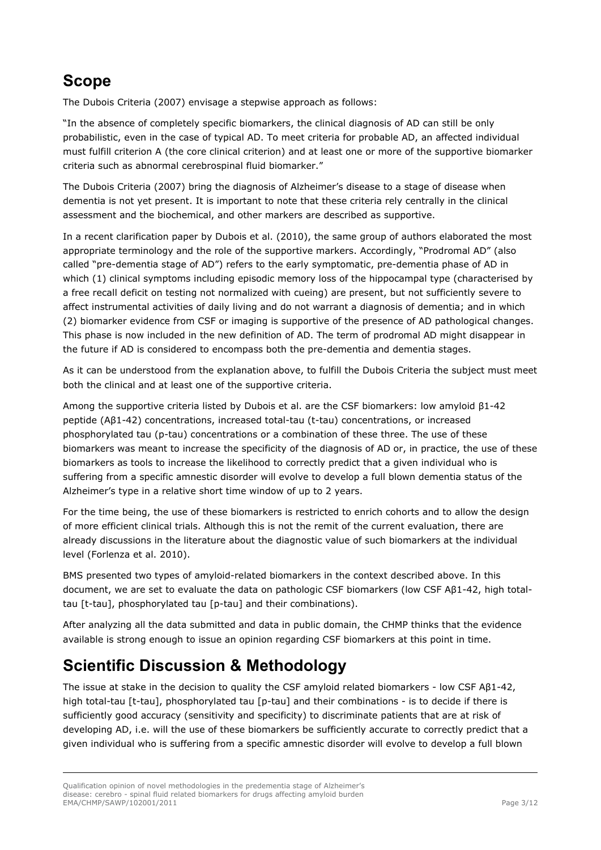## **Scope**

The Dubois Criteria (2007) envisage a stepwise approach as follows:

"In the absence of completely specific biomarkers, the clinical diagnosis of AD can still be only probabilistic, even in the case of typical AD. To meet criteria for probable AD, an affected individual must fulfill criterion A (the core clinical criterion) and at least one or more of the supportive biomarker criteria such as abnormal cerebrospinal fluid biomarker."

The Dubois Criteria (2007) bring the diagnosis of Alzheimer's disease to a stage of disease when dementia is not yet present. It is important to note that these criteria rely centrally in the clinical assessment and the biochemical, and other markers are described as supportive.

In a recent clarification paper by Dubois et al. (2010), the same group of authors elaborated the most appropriate terminology and the role of the supportive markers. Accordingly, "Prodromal AD" (also called "pre-dementia stage of AD") refers to the early symptomatic, pre-dementia phase of AD in which (1) clinical symptoms including episodic memory loss of the hippocampal type (characterised by a free recall deficit on testing not normalized with cueing) are present, but not sufficiently severe to affect instrumental activities of daily living and do not warrant a diagnosis of dementia; and in which (2) biomarker evidence from CSF or imaging is supportive of the presence of AD pathological changes. This phase is now included in the new definition of AD. The term of prodromal AD might disappear in the future if AD is considered to encompass both the pre-dementia and dementia stages.

As it can be understood from the explanation above, to fulfill the Dubois Criteria the subject must meet both the clinical and at least one of the supportive criteria.

Among the supportive criteria listed by Dubois et al. are the CSF biomarkers: low amyloid β1-42 peptide (Aβ1-42) concentrations, increased total-tau (t-tau) concentrations, or increased phosphorylated tau (p-tau) concentrations or a combination of these three. The use of these biomarkers was meant to increase the specificity of the diagnosis of AD or, in practice, the use of these biomarkers as tools to increase the likelihood to correctly predict that a given individual who is suffering from a specific amnestic disorder will evolve to develop a full blown dementia status of the Alzheimer's type in a relative short time window of up to 2 years.

For the time being, the use of these biomarkers is restricted to enrich cohorts and to allow the design of more efficient clinical trials. Although this is not the remit of the current evaluation, there are already discussions in the literature about the diagnostic value of such biomarkers at the individual level (Forlenza et al. 2010).

BMS presented two types of amyloid-related biomarkers in the context described above. In this document, we are set to evaluate the data on pathologic CSF biomarkers (low CSF Aβ1-42, high totaltau [t-tau], phosphorylated tau [p-tau] and their combinations).

After analyzing all the data submitted and data in public domain, the CHMP thinks that the evidence available is strong enough to issue an opinion regarding CSF biomarkers at this point in time.

# **Scientific Discussion & Methodology**

The issue at stake in the decision to quality the CSF amyloid related biomarkers - low CSF Aβ1-42, high total-tau [t-tau], phosphorylated tau [p-tau] and their combinations - is to decide if there is sufficiently good accuracy (sensitivity and specificity) to discriminate patients that are at risk of developing AD, i.e. will the use of these biomarkers be sufficiently accurate to correctly predict that a given individual who is suffering from a specific amnestic disorder will evolve to develop a full blown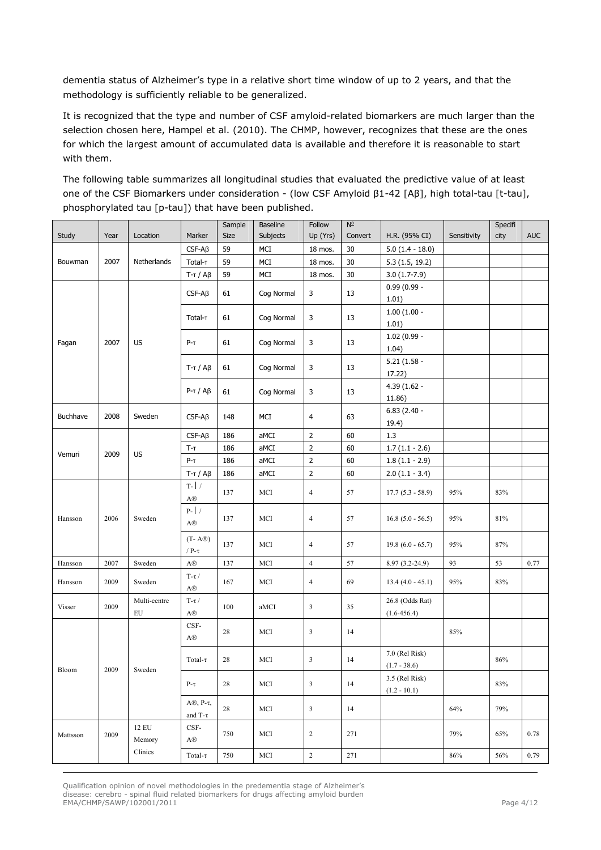dementia status of Alzheimer's type in a relative short time window of up to 2 years, and that the methodology is sufficiently reliable to be generalized.

It is recognized that the type and number of CSF amyloid-related biomarkers are much larger than the selection chosen here, Hampel et al. (2010). The CHMP, however, recognizes that these are the ones for which the largest amount of accumulated data is available and therefore it is reasonable to start with them.

The following table summarizes all longitudinal studies that evaluated the predictive value of at least one of the CSF Biomarkers under consideration - (low CSF Amyloid β1-42 [Aβ], high total-tau [t-tau], phosphorylated tau [p-tau]) that have been published.

|                 |      |                            |                                                            | Sample | <b>Baseline</b> | Follow         | $N^{\circ}$ |                                    |             | Specifi |            |
|-----------------|------|----------------------------|------------------------------------------------------------|--------|-----------------|----------------|-------------|------------------------------------|-------------|---------|------------|
| Study           | Year | Location                   | Marker                                                     | Size   | Subjects        | Up (Yrs)       | Convert     | H.R. (95% CI)                      | Sensitivity | city    | <b>AUC</b> |
|                 |      |                            | $CSF-AB$                                                   | 59     | MCI             | 18 mos.        | 30          | $5.0(1.4 - 18.0)$                  |             |         |            |
| Bouwman         | 2007 | Netherlands                | Total-T                                                    | 59     | MCI             | 18 mos.        | 30          | 5.3(1.5, 19.2)                     |             |         |            |
|                 |      |                            | $T-T/A\beta$                                               | 59     | MCI             | 18 mos.        | 30          | $3.0(1.7-7.9)$                     |             |         |            |
|                 |      |                            | $CSF-AB$                                                   | 61     | Cog Normal      | 3              | 13          | $0.99(0.99 -$<br>1.01)             |             |         |            |
| 2007<br>Fagan   |      | <b>US</b>                  | Total-T                                                    | 61     | Cog Normal      | 3              | 13          | $1.00(1.00 -$<br>1.01)             |             |         |            |
|                 |      |                            | $P-T$                                                      | 61     | Cog Normal      | 3              | 13          | $1.02(0.99 -$<br>1.04)             |             |         |            |
|                 |      |                            | $T-T/A\beta$                                               | 61     | Cog Normal      | 3              | 13          | $5.21(1.58 -$<br>17.22)            |             |         |            |
|                 |      |                            | $P-T/A\beta$                                               | 61     | Cog Normal      | 3              | 13          | $4.39(1.62 -$<br>11.86)            |             |         |            |
| Buchhave        | 2008 | Sweden                     | $CSF-AB$                                                   | 148    | MCI             | 4              | 63          | $6.83(2.40 -$<br>19.4)             |             |         |            |
|                 |      |                            | $CSF-AB$                                                   | 186    | aMCI            | $\overline{2}$ | 60          | 1.3                                |             |         |            |
| Vemuri          | 2009 | <b>US</b>                  | $T-T$                                                      | 186    | aMCI            | $\overline{2}$ | 60          | $1.7(1.1 - 2.6)$                   |             |         |            |
|                 |      |                            | $P-T$                                                      | 186    | aMCI            | $\overline{2}$ | 60          | $1.8(1.1 - 2.9)$                   |             |         |            |
|                 |      |                            | $T-T/A\beta$                                               | 186    | aMCI            | $\mathsf{2}\,$ | 60          | $2.0(1.1 - 3.4)$                   |             |         |            |
|                 |      | Sweden                     | T- $\mid$ /<br>$\mathbf{A} \circledR$                      | 137    | MCI             | $\overline{4}$ | 57          | $17.7(5.3 - 58.9)$                 | 95%         | 83%     |            |
| 2006<br>Hansson |      |                            | $P-$ /<br>$\mathbf{A}^{\scriptsize\textcircled{\tiny R}}$  | 137    | MCI             | $\overline{4}$ | 57          | $16.8(5.0 - 56.5)$                 | 95%         | 81%     |            |
|                 |      |                            | $(T - A@)$<br>/ P- $\tau$                                  | 137    | MCI             | $\overline{4}$ | 57          | $19.8(6.0 - 65.7)$                 | 95%         | 87%     |            |
| Hansson         | 2007 | Sweden                     | $\mathbf{A}^{\scriptsize\textcircled{\tiny R}}$            | 137    | MCI             | $\overline{4}$ | 57          | $8.97(3.2-24.9)$                   | 93          | 53      | 0.77       |
| Hansson         | 2009 | Sweden                     | $T$ - $\tau$ /<br>$\mathbf{A} \circledast$                 | 167    | MCI             | $\overline{4}$ | 69          | $13.4(4.0 - 45.1)$                 | 95%         | 83%     |            |
| Visser          | 2009 | Multi-centre<br>${\rm EU}$ | T-τ $/$<br>$\mathbf{A}^{\scriptsize\textcircled{\tiny R}}$ | 100    | aMCI            | $\mathfrak{Z}$ | 35          | 26.8 (Odds Rat)<br>$(1.6 - 456.4)$ |             |         |            |
| Bloom           |      | 2009<br>Sweden             | CSF-<br>$\mathbf{A}^{\scriptsize\textcircled{\tiny R}}$    | $28\,$ | MCI             | $\mathfrak{Z}$ | 14          |                                    | 85%         |         |            |
|                 |      |                            | Total- $\tau$                                              | 28     | MCI             | 3              | 14          | 7.0 (Rel Risk)<br>$(1.7 - 38.6)$   |             | 86%     |            |
|                 |      |                            | $P-\tau$                                                   | 28     | MCI             | $\mathfrak{Z}$ | 14          | 3.5 (Rel Risk)<br>$(1.2 - 10.1)$   |             | 83%     |            |
|                 |      |                            | $A\circledcirc, P-\tau,$<br>and T- $\uparrow$              | 28     | MCI             | $\overline{3}$ | 14          |                                    | 64%         | 79%     |            |
| Mattsson        | 2009 | 12 EU<br>Memory            | $_{\rm CSF-}$<br>$\mathbf{A} \circledcirc$                 | 750    | MCI             | $\sqrt{2}$     | 271         |                                    | 79%         | 65%     | 0.78       |
|                 |      | Clinics                    | Total- $\tau$                                              | 750    | MCI             | $\sqrt{2}$     | 271         |                                    | 86%         | 56%     | 0.79       |

Qualification opinion of novel methodologies in the predementia stage of Alzheimer's disease: cerebro - spinal fluid related biomarkers for drugs affecting amyloid burden EMA/CHMP/SAWP/102001/2011 Page 4/12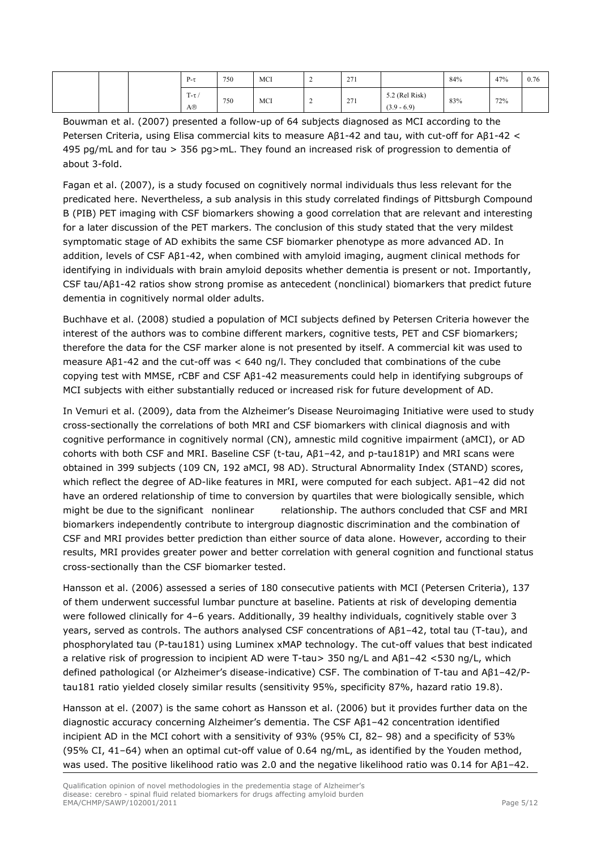|  | $P-\tau$        | 750 | MCI | $\overline{\phantom{a}}$<br><b><u>_</u></b> | 271<br>$\sim$ $\prime$ 1 |                                 | 84% | 47% | 0.76 |
|--|-----------------|-----|-----|---------------------------------------------|--------------------------|---------------------------------|-----|-----|------|
|  | $T-\tau/$<br>A® | 750 | MCI | <b><u>_</u></b>                             | 271<br>211               | 5.2 (Rel Risk)<br>$(3.9 - 6.9)$ | 83% | 72% |      |

Bouwman et al. (2007) presented a follow-up of 64 subjects diagnosed as MCI according to the Petersen Criteria, using Elisa commercial kits to measure Aβ1-42 and tau, with cut-off for Aβ1-42 < 495 pg/mL and for tau > 356 pg>mL. They found an increased risk of progression to dementia of about 3-fold.

Fagan et al. (2007), is a study focused on cognitively normal individuals thus less relevant for the predicated here. Nevertheless, a sub analysis in this study correlated findings of Pittsburgh Compound B (PIB) PET imaging with CSF biomarkers showing a good correlation that are relevant and interesting for a later discussion of the PET markers. The conclusion of this study stated that the very mildest symptomatic stage of AD exhibits the same CSF biomarker phenotype as more advanced AD. In addition, levels of CSF Aβ1-42, when combined with amyloid imaging, augment clinical methods for identifying in individuals with brain amyloid deposits whether dementia is present or not. Importantly, CSF tau/Aβ1-42 ratios show strong promise as antecedent (nonclinical) biomarkers that predict future dementia in cognitively normal older adults.

Buchhave et al. (2008) studied a population of MCI subjects defined by Petersen Criteria however the interest of the authors was to combine different markers, cognitive tests, PET and CSF biomarkers; therefore the data for the CSF marker alone is not presented by itself. A commercial kit was used to measure Aβ1-42 and the cut-off was < 640 ng/l. They concluded that combinations of the cube copying test with MMSE, rCBF and CSF Aβ1-42 measurements could help in identifying subgroups of MCI subjects with either substantially reduced or increased risk for future development of AD.

In Vemuri et al. (2009), data from the Alzheimer's Disease Neuroimaging Initiative were used to study cross-sectionally the correlations of both MRI and CSF biomarkers with clinical diagnosis and with cognitive performance in cognitively normal (CN), amnestic mild cognitive impairment (aMCI), or AD cohorts with both CSF and MRI. Baseline CSF (t-tau, Aβ1–42, and p-tau181P) and MRI scans were obtained in 399 subjects (109 CN, 192 aMCI, 98 AD). Structural Abnormality Index (STAND) scores, which reflect the degree of AD-like features in MRI, were computed for each subject. Aβ1–42 did not have an ordered relationship of time to conversion by quartiles that were biologically sensible, which might be due to the significant nonlinear relationship. The authors concluded that CSF and MRI biomarkers independently contribute to intergroup diagnostic discrimination and the combination of CSF and MRI provides better prediction than either source of data alone. However, according to their results, MRI provides greater power and better correlation with general cognition and functional status cross-sectionally than the CSF biomarker tested.

Hansson et al. (2006) assessed a series of 180 consecutive patients with MCI (Petersen Criteria), 137 of them underwent successful lumbar puncture at baseline. Patients at risk of developing dementia were followed clinically for 4–6 years. Additionally, 39 healthy individuals, cognitively stable over 3 years, served as controls. The authors analysed CSF concentrations of Aβ1–42, total tau (T-tau), and phosphorylated tau (P-tau181) using Luminex xMAP technology. The cut-off values that best indicated a relative risk of progression to incipient AD were T-tau> 350 ng/L and Aβ1–42 <530 ng/L, which defined pathological (or Alzheimer's disease-indicative) CSF. The combination of T-tau and Aβ1–42/Ptau181 ratio yielded closely similar results (sensitivity 95%, specificity 87%, hazard ratio 19.8).

Hansson at el. (2007) is the same cohort as Hansson et al. (2006) but it provides further data on the diagnostic accuracy concerning Alzheimer's dementia. The CSF Aβ1–42 concentration identified incipient AD in the MCI cohort with a sensitivity of 93% (95% CI, 82– 98) and a specificity of 53% (95% CI, 41–64) when an optimal cut-off value of 0.64 ng/mL, as identified by the Youden method, was used. The positive likelihood ratio was 2.0 and the negative likelihood ratio was 0.14 for Aβ1–42.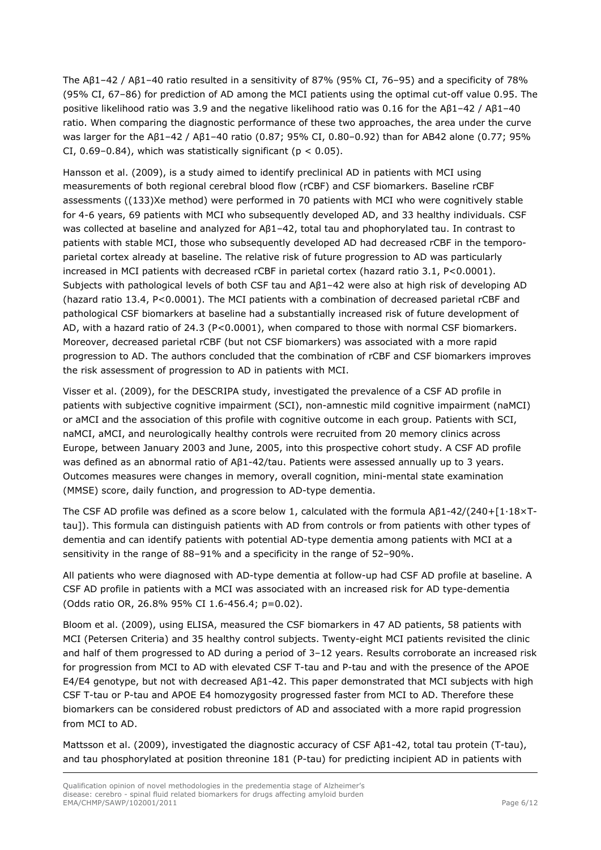The Aβ1–42 / Aβ1–40 ratio resulted in a sensitivity of 87% (95% CI, 76–95) and a specificity of 78% (95% CI, 67–86) for prediction of AD among the MCI patients using the optimal cut-off value 0.95. The positive likelihood ratio was 3.9 and the negative likelihood ratio was 0.16 for the Aβ1–42 / Aβ1–40 ratio. When comparing the diagnostic performance of these two approaches, the area under the curve was larger for the Aβ1–42 / Aβ1–40 ratio (0.87; 95% CI, 0.80–0.92) than for AB42 alone (0.77; 95% CI,  $0.69-0.84$ ), which was statistically significant ( $p < 0.05$ ).

Hansson et al. (2009), is a study aimed to identify preclinical AD in patients with MCI using measurements of both regional cerebral blood flow (rCBF) and CSF biomarkers. Baseline rCBF assessments ((133)Xe method) were performed in 70 patients with MCI who were cognitively stable for 4-6 years, 69 patients with MCI who subsequently developed AD, and 33 healthy individuals. CSF was collected at baseline and analyzed for Aβ1–42, total tau and phophorylated tau. In contrast to patients with stable MCI, those who subsequently developed AD had decreased rCBF in the temporoparietal cortex already at baseline. The relative risk of future progression to AD was particularly increased in MCI patients with decreased rCBF in parietal cortex (hazard ratio 3.1, P<0.0001). Subjects with pathological levels of both CSF tau and Aβ1–42 were also at high risk of developing AD (hazard ratio 13.4, P<0.0001). The MCI patients with a combination of decreased parietal rCBF and pathological CSF biomarkers at baseline had a substantially increased risk of future development of AD, with a hazard ratio of 24.3 (P<0.0001), when compared to those with normal CSF biomarkers. Moreover, decreased parietal rCBF (but not CSF biomarkers) was associated with a more rapid progression to AD. The authors concluded that the combination of rCBF and CSF biomarkers improves the risk assessment of progression to AD in patients with MCI.

Visser et al. (2009), for the DESCRIPA study, investigated the prevalence of a CSF AD profile in patients with subjective cognitive impairment (SCI), non-amnestic mild cognitive impairment (naMCI) or aMCI and the association of this profile with cognitive outcome in each group. Patients with SCI, naMCI, aMCI, and neurologically healthy controls were recruited from 20 memory clinics across Europe, between January 2003 and June, 2005, into this prospective cohort study. A CSF AD profile was defined as an abnormal ratio of Aβ1-42/tau. Patients were assessed annually up to 3 years. Outcomes measures were changes in memory, overall cognition, mini-mental state examination (MMSE) score, daily function, and progression to AD-type dementia.

The CSF AD profile was defined as a score below 1, calculated with the formula Aβ1-42/(240+[1·18×Ttau]). This formula can distinguish patients with AD from controls or from patients with other types of dementia and can identify patients with potential AD-type dementia among patients with MCI at a sensitivity in the range of 88–91% and a specificity in the range of 52–90%.

All patients who were diagnosed with AD-type dementia at follow-up had CSF AD profile at baseline. A CSF AD profile in patients with a MCI was associated with an increased risk for AD type-dementia (Odds ratio OR, 26.8% 95% CI 1.6-456.4; p=0.02).

Bloom et al. (2009), using ELISA, measured the CSF biomarkers in 47 AD patients, 58 patients with MCI (Petersen Criteria) and 35 healthy control subjects. Twenty-eight MCI patients revisited the clinic and half of them progressed to AD during a period of 3–12 years. Results corroborate an increased risk for progression from MCI to AD with elevated CSF T-tau and P-tau and with the presence of the APOE E4/E4 genotype, but not with decreased Aβ1-42. This paper demonstrated that MCI subjects with high CSF T-tau or P-tau and APOE E4 homozygosity progressed faster from MCI to AD. Therefore these biomarkers can be considered robust predictors of AD and associated with a more rapid progression from MCI to AD.

Mattsson et al. (2009), investigated the diagnostic accuracy of CSF Aβ1-42, total tau protein (T-tau), and tau phosphorylated at position threonine 181 (P-tau) for predicting incipient AD in patients with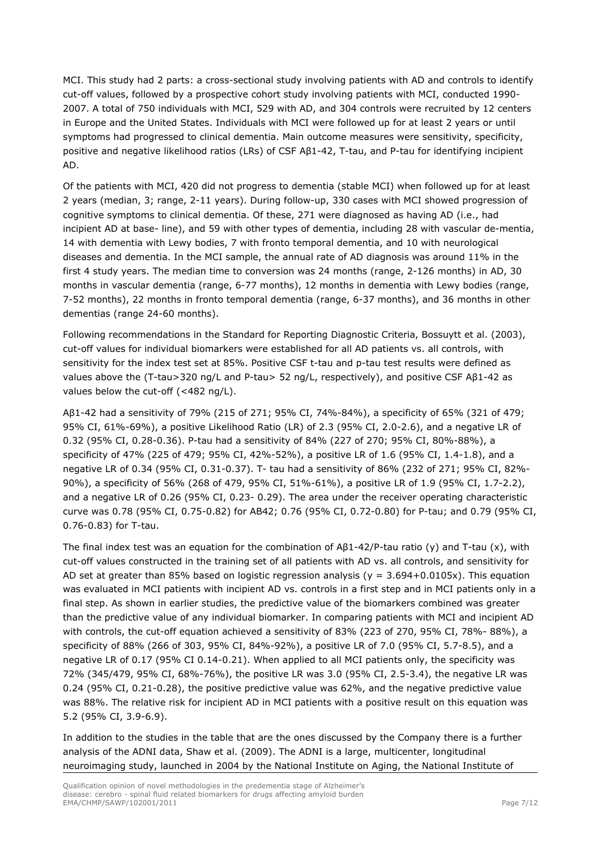MCI. This study had 2 parts: a cross-sectional study involving patients with AD and controls to identify cut-off values, followed by a prospective cohort study involving patients with MCI, conducted 1990- 2007. A total of 750 individuals with MCI, 529 with AD, and 304 controls were recruited by 12 centers in Europe and the United States. Individuals with MCI were followed up for at least 2 years or until symptoms had progressed to clinical dementia. Main outcome measures were sensitivity, specificity, positive and negative likelihood ratios (LRs) of CSF Aβ1-42, T-tau, and P-tau for identifying incipient AD.

Of the patients with MCI, 420 did not progress to dementia (stable MCI) when followed up for at least 2 years (median, 3; range, 2-11 years). During follow-up, 330 cases with MCI showed progression of cognitive symptoms to clinical dementia. Of these, 271 were diagnosed as having AD (i.e., had incipient AD at base- line), and 59 with other types of dementia, including 28 with vascular de-mentia, 14 with dementia with Lewy bodies, 7 with fronto temporal dementia, and 10 with neurological diseases and dementia. In the MCI sample, the annual rate of AD diagnosis was around 11% in the first 4 study years. The median time to conversion was 24 months (range, 2-126 months) in AD, 30 months in vascular dementia (range, 6-77 months), 12 months in dementia with Lewy bodies (range, 7-52 months), 22 months in fronto temporal dementia (range, 6-37 months), and 36 months in other dementias (range 24-60 months).

Following recommendations in the Standard for Reporting Diagnostic Criteria, Bossuytt et al. (2003), cut-off values for individual biomarkers were established for all AD patients vs. all controls, with sensitivity for the index test set at 85%. Positive CSF t-tau and p-tau test results were defined as values above the (T-tau>320 ng/L and P-tau> 52 ng/L, respectively), and positive CSF Aβ1-42 as values below the cut-off (<482 ng/L).

Aβ1-42 had a sensitivity of 79% (215 of 271; 95% CI, 74%-84%), a specificity of 65% (321 of 479; 95% CI, 61%-69%), a positive Likelihood Ratio (LR) of 2.3 (95% CI, 2.0-2.6), and a negative LR of 0.32 (95% CI, 0.28-0.36). P-tau had a sensitivity of 84% (227 of 270; 95% CI, 80%-88%), a specificity of 47% (225 of 479; 95% CI, 42%-52%), a positive LR of 1.6 (95% CI, 1.4-1.8), and a negative LR of 0.34 (95% CI, 0.31-0.37). T- tau had a sensitivity of 86% (232 of 271; 95% CI, 82%- 90%), a specificity of 56% (268 of 479, 95% CI, 51%-61%), a positive LR of 1.9 (95% CI, 1.7-2.2), and a negative LR of 0.26 (95% CI, 0.23- 0.29). The area under the receiver operating characteristic curve was 0.78 (95% CI, 0.75-0.82) for AB42; 0.76 (95% CI, 0.72-0.80) for P-tau; and 0.79 (95% CI, 0.76-0.83) for T-tau.

The final index test was an equation for the combination of  $A\beta1-42/P$ -tau ratio (y) and T-tau (x), with cut-off values constructed in the training set of all patients with AD vs. all controls, and sensitivity for AD set at greater than 85% based on logistic regression analysis ( $y = 3.694+0.0105x$ ). This equation was evaluated in MCI patients with incipient AD vs. controls in a first step and in MCI patients only in a final step. As shown in earlier studies, the predictive value of the biomarkers combined was greater than the predictive value of any individual biomarker. In comparing patients with MCI and incipient AD with controls, the cut-off equation achieved a sensitivity of 83% (223 of 270, 95% CI, 78%- 88%), a specificity of 88% (266 of 303, 95% CI, 84%-92%), a positive LR of 7.0 (95% CI, 5.7-8.5), and a negative LR of 0.17 (95% CI 0.14-0.21). When applied to all MCI patients only, the specificity was 72% (345/479, 95% CI, 68%-76%), the positive LR was 3.0 (95% CI, 2.5-3.4), the negative LR was 0.24 (95% CI, 0.21-0.28), the positive predictive value was 62%, and the negative predictive value was 88%. The relative risk for incipient AD in MCI patients with a positive result on this equation was 5.2 (95% CI, 3.9-6.9).

In addition to the studies in the table that are the ones discussed by the Company there is a further analysis of the ADNI data, Shaw et al. (2009). The ADNI is a large, multicenter, longitudinal neuroimaging study, launched in 2004 by the National Institute on Aging, the National Institute of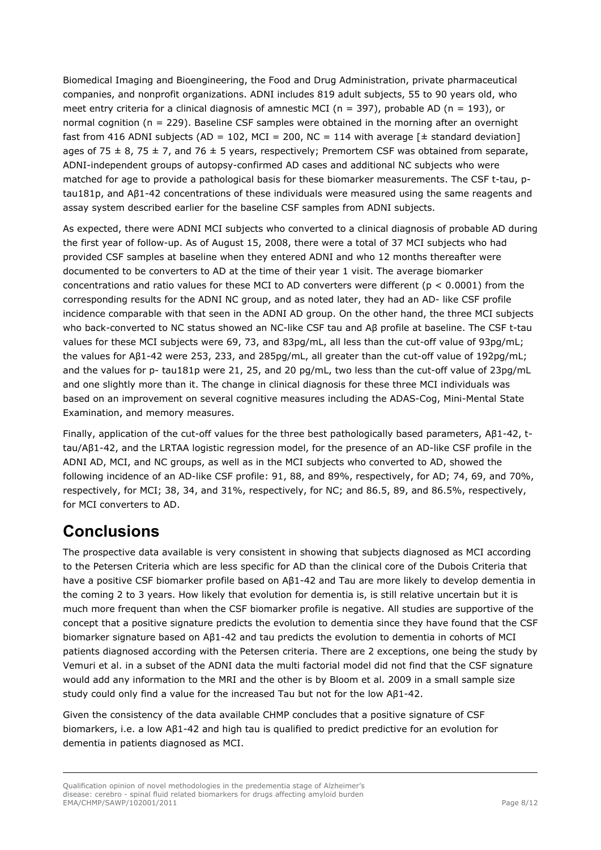Biomedical Imaging and Bioengineering, the Food and Drug Administration, private pharmaceutical companies, and nonprofit organizations. ADNI includes 819 adult subjects, 55 to 90 years old, who meet entry criteria for a clinical diagnosis of amnestic MCI ( $n = 397$ ), probable AD ( $n = 193$ ), or normal cognition (n = 229). Baseline CSF samples were obtained in the morning after an overnight fast from 416 ADNI subjects (AD = 102, MCI = 200, NC = 114 with average  $[\pm$  standard deviation] ages of 75  $\pm$  8, 75  $\pm$  7, and 76  $\pm$  5 years, respectively; Premortem CSF was obtained from separate, ADNI-independent groups of autopsy-confirmed AD cases and additional NC subjects who were matched for age to provide a pathological basis for these biomarker measurements. The CSF t-tau, ptau181p, and Aβ1-42 concentrations of these individuals were measured using the same reagents and assay system described earlier for the baseline CSF samples from ADNI subjects.

As expected, there were ADNI MCI subjects who converted to a clinical diagnosis of probable AD during the first year of follow-up. As of August 15, 2008, there were a total of 37 MCI subjects who had provided CSF samples at baseline when they entered ADNI and who 12 months thereafter were documented to be converters to AD at the time of their year 1 visit. The average biomarker concentrations and ratio values for these MCI to AD converters were different ( $p < 0.0001$ ) from the corresponding results for the ADNI NC group, and as noted later, they had an AD- like CSF profile incidence comparable with that seen in the ADNI AD group. On the other hand, the three MCI subjects who back-converted to NC status showed an NC-like CSF tau and Aβ profile at baseline. The CSF t-tau values for these MCI subjects were 69, 73, and 83pg/mL, all less than the cut-off value of 93pg/mL; the values for Aβ1-42 were 253, 233, and 285pg/mL, all greater than the cut-off value of 192pg/mL; and the values for p- tau181p were 21, 25, and 20 pg/mL, two less than the cut-off value of 23pg/mL and one slightly more than it. The change in clinical diagnosis for these three MCI individuals was based on an improvement on several cognitive measures including the ADAS-Cog, Mini-Mental State Examination, and memory measures.

Finally, application of the cut-off values for the three best pathologically based parameters, Aβ1-42, ttau/Aβ1-42, and the LRTAA logistic regression model, for the presence of an AD-like CSF profile in the ADNI AD, MCI, and NC groups, as well as in the MCI subjects who converted to AD, showed the following incidence of an AD-like CSF profile: 91, 88, and 89%, respectively, for AD; 74, 69, and 70%, respectively, for MCI; 38, 34, and 31%, respectively, for NC; and 86.5, 89, and 86.5%, respectively, for MCI converters to AD.

#### **Conclusions**

The prospective data available is very consistent in showing that subjects diagnosed as MCI according to the Petersen Criteria which are less specific for AD than the clinical core of the Dubois Criteria that have a positive CSF biomarker profile based on Aβ1-42 and Tau are more likely to develop dementia in the coming 2 to 3 years. How likely that evolution for dementia is, is still relative uncertain but it is much more frequent than when the CSF biomarker profile is negative. All studies are supportive of the concept that a positive signature predicts the evolution to dementia since they have found that the CSF biomarker signature based on Aβ1-42 and tau predicts the evolution to dementia in cohorts of MCI patients diagnosed according with the Petersen criteria. There are 2 exceptions, one being the study by Vemuri et al. in a subset of the ADNI data the multi factorial model did not find that the CSF signature would add any information to the MRI and the other is by Bloom et al. 2009 in a small sample size study could only find a value for the increased Tau but not for the low Aβ1-42.

Given the consistency of the data available CHMP concludes that a positive signature of CSF biomarkers, i.e. a low Aβ1-42 and high tau is qualified to predict predictive for an evolution for dementia in patients diagnosed as MCI.

Qualification opinion of novel methodologies in the predementia stage of Alzheimer's disease: cerebro - spinal fluid related biomarkers for drugs affecting amyloid burden EMA/CHMP/SAWP/102001/2011 Page 8/12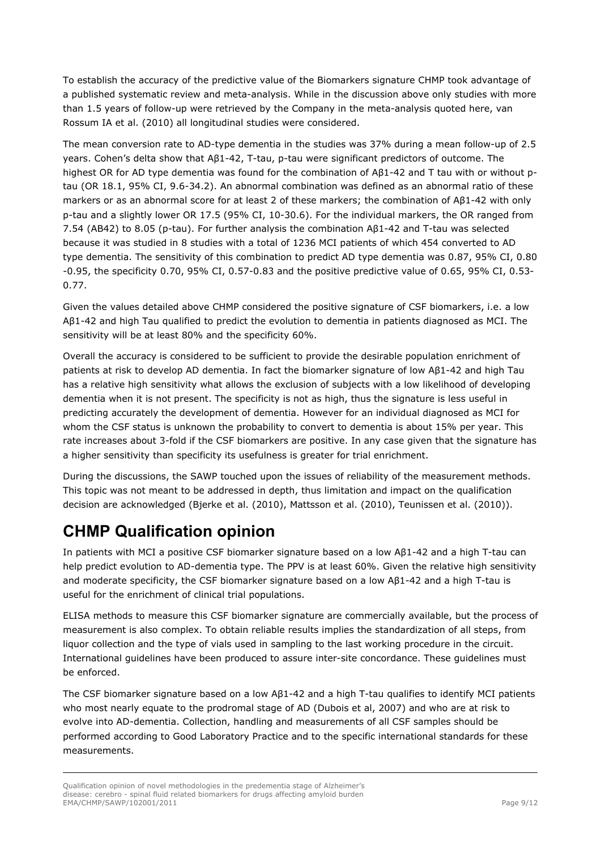To establish the accuracy of the predictive value of the Biomarkers signature CHMP took advantage of a published systematic review and meta-analysis. While in the discussion above only studies with more than 1.5 years of follow-up were retrieved by the Company in the meta-analysis quoted here, van Rossum IA et al. (2010) all longitudinal studies were considered.

The mean conversion rate to AD-type dementia in the studies was 37% during a mean follow-up of 2.5 years. Cohen's delta show that Aβ1-42, T-tau, p-tau were significant predictors of outcome. The highest OR for AD type dementia was found for the combination of Aβ1-42 and T tau with or without ptau (OR 18.1, 95% CI, 9.6-34.2). An abnormal combination was defined as an abnormal ratio of these markers or as an abnormal score for at least 2 of these markers; the combination of Aβ1-42 with only p-tau and a slightly lower OR 17.5 (95% CI, 10-30.6). For the individual markers, the OR ranged from 7.54 (AB42) to 8.05 (p-tau). For further analysis the combination Aβ1-42 and T-tau was selected because it was studied in 8 studies with a total of 1236 MCI patients of which 454 converted to AD type dementia. The sensitivity of this combination to predict AD type dementia was 0.87, 95% CI, 0.80 -0.95, the specificity 0.70, 95% CI, 0.57-0.83 and the positive predictive value of 0.65, 95% CI, 0.53- 0.77.

Given the values detailed above CHMP considered the positive signature of CSF biomarkers, i.e. a low Aβ1-42 and high Tau qualified to predict the evolution to dementia in patients diagnosed as MCI. The sensitivity will be at least 80% and the specificity 60%.

Overall the accuracy is considered to be sufficient to provide the desirable population enrichment of patients at risk to develop AD dementia. In fact the biomarker signature of low Aβ1-42 and high Tau has a relative high sensitivity what allows the exclusion of subjects with a low likelihood of developing dementia when it is not present. The specificity is not as high, thus the signature is less useful in predicting accurately the development of dementia. However for an individual diagnosed as MCI for whom the CSF status is unknown the probability to convert to dementia is about 15% per year. This rate increases about 3-fold if the CSF biomarkers are positive. In any case given that the signature has a higher sensitivity than specificity its usefulness is greater for trial enrichment.

During the discussions, the SAWP touched upon the issues of reliability of the measurement methods. This topic was not meant to be addressed in depth, thus limitation and impact on the qualification decision are acknowledged (Bjerke et al. (2010), Mattsson et al. (2010), Teunissen et al. (2010)).

# **CHMP Qualification opinion**

In patients with MCI a positive CSF biomarker signature based on a low Aβ1-42 and a high T-tau can help predict evolution to AD-dementia type. The PPV is at least 60%. Given the relative high sensitivity and moderate specificity, the CSF biomarker signature based on a low Aβ1-42 and a high T-tau is useful for the enrichment of clinical trial populations.

ELISA methods to measure this CSF biomarker signature are commercially available, but the process of measurement is also complex. To obtain reliable results implies the standardization of all steps, from liquor collection and the type of vials used in sampling to the last working procedure in the circuit. International guidelines have been produced to assure inter-site concordance. These guidelines must be enforced.

The CSF biomarker signature based on a low Aβ1-42 and a high T-tau qualifies to identify MCI patients who most nearly equate to the prodromal stage of AD (Dubois et al, 2007) and who are at risk to evolve into AD-dementia. Collection, handling and measurements of all CSF samples should be performed according to Good Laboratory Practice and to the specific international standards for these measurements.

Qualification opinion of novel methodologies in the predementia stage of Alzheimer's disease: cerebro - spinal fluid related biomarkers for drugs affecting amyloid burden EMA/CHMP/SAWP/102001/2011 Page 9/12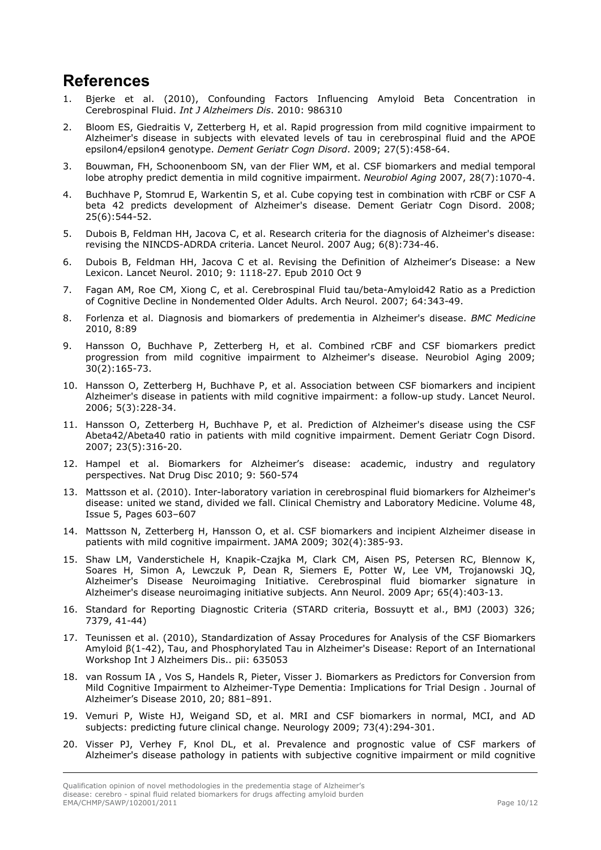#### **References**

- 1. Bjerke et al. (2010), Confounding Factors Influencing Amyloid Beta Concentration in Cerebrospinal Fluid. *Int J Alzheimers Dis*. 2010: 986310
- 2. Bloom ES, Giedraitis V, Zetterberg H, et al. Rapid progression from mild cognitive impairment to Alzheimer's disease in subjects with elevated levels of tau in cerebrospinal fluid and the APOE epsilon4/epsilon4 genotype. *Dement Geriatr Cogn Disord*. 2009; 27(5):458-64.
- 3. Bouwman, FH, Schoonenboom SN, van der Flier WM, et al. CSF biomarkers and medial temporal lobe atrophy predict dementia in mild cognitive impairment. *Neurobiol Aging* 2007, 28(7):1070-4.
- 4. Buchhave P, Stomrud E, Warkentin S, et al. Cube copying test in combination with rCBF or CSF A beta 42 predicts development of Alzheimer's disease. Dement Geriatr Cogn Disord. 2008; 25(6):544-52.
- 5. Dubois B, Feldman HH, Jacova C, et al. Research criteria for the diagnosis of Alzheimer's disease: revising the NINCDS-ADRDA criteria. Lancet Neurol. 2007 Aug; 6(8):734-46.
- 6. Dubois B, Feldman HH, Jacova C et al. Revising the Definition of Alzheimer's Disease: a New Lexicon. Lancet Neurol. 2010; 9: 1118-27. Epub 2010 Oct 9
- 7. Fagan AM, Roe CM, Xiong C, et al. Cerebrospinal Fluid tau/beta-Amyloid42 Ratio as a Prediction of Cognitive Decline in Nondemented Older Adults. Arch Neurol. 2007; 64:343-49.
- 8. Forlenza et al. Diagnosis and biomarkers of predementia in Alzheimer's disease. *BMC Medicine* 2010, 8:89
- 9. Hansson O, Buchhave P, Zetterberg H, et al. Combined rCBF and CSF biomarkers predict progression from mild cognitive impairment to Alzheimer's disease. Neurobiol Aging 2009; 30(2):165-73.
- 10. Hansson O, Zetterberg H, Buchhave P, et al. Association between CSF biomarkers and incipient Alzheimer's disease in patients with mild cognitive impairment: a follow-up study. Lancet Neurol. 2006; 5(3):228-34.
- 11. Hansson O, Zetterberg H, Buchhave P, et al. Prediction of Alzheimer's disease using the CSF Abeta42/Abeta40 ratio in patients with mild cognitive impairment. Dement Geriatr Cogn Disord. 2007; 23(5):316-20.
- 12. Hampel et al. Biomarkers for Alzheimer's disease: academic, industry and regulatory perspectives. Nat Drug Disc 2010; 9: 560-574
- 13. Mattsson et al. (2010). Inter-laboratory variation in cerebrospinal fluid biomarkers for Alzheimer's disease: united we stand, divided we fall. Clinical Chemistry and Laboratory Medicine. Volume 48, Issue 5, Pages 603–607
- 14. Mattsson N, Zetterberg H, Hansson O, et al. CSF biomarkers and incipient Alzheimer disease in patients with mild cognitive impairment. JAMA 2009; 302(4):385-93.
- 15. Shaw LM, Vanderstichele H, Knapik-Czajka M, Clark CM, Aisen PS, Petersen RC, Blennow K, Soares H, Simon A, Lewczuk P, Dean R, Siemers E, Potter W, Lee VM, Trojanowski JQ, Alzheimer's Disease Neuroimaging Initiative. Cerebrospinal fluid biomarker signature in Alzheimer's disease neuroimaging initiative subjects. Ann Neurol. 2009 Apr; 65(4):403-13.
- 16. Standard for Reporting Diagnostic Criteria (STARD criteria, Bossuytt et al., BMJ (2003) 326; 7379, 41-44)
- 17. Teunissen et al. (2010), Standardization of Assay Procedures for Analysis of the CSF Biomarkers Amyloid β(1-42), Tau, and Phosphorylated Tau in Alzheimer's Disease: Report of an International Workshop Int J Alzheimers Dis.. pii: 635053
- 18. van Rossum IA , Vos S, Handels R, Pieter, Visser J. Biomarkers as Predictors for Conversion from Mild Cognitive Impairment to Alzheimer-Type Dementia: Implications for Trial Design . Journal of Alzheimer's Disease 2010, 20; 881–891.
- 19. Vemuri P, Wiste HJ, Weigand SD, et al. MRI and CSF biomarkers in normal, MCI, and AD subjects: predicting future clinical change. Neurology 2009; 73(4):294-301.
- 20. Visser PJ, Verhey F, Knol DL, et al. Prevalence and prognostic value of CSF markers of Alzheimer's disease pathology in patients with subjective cognitive impairment or mild cognitive

Qualification opinion of novel methodologies in the predementia stage of Alzheimer's disease: cerebro - spinal fluid related biomarkers for drugs affecting amyloid burden EMA/CHMP/SAWP/102001/2011 Page 10/12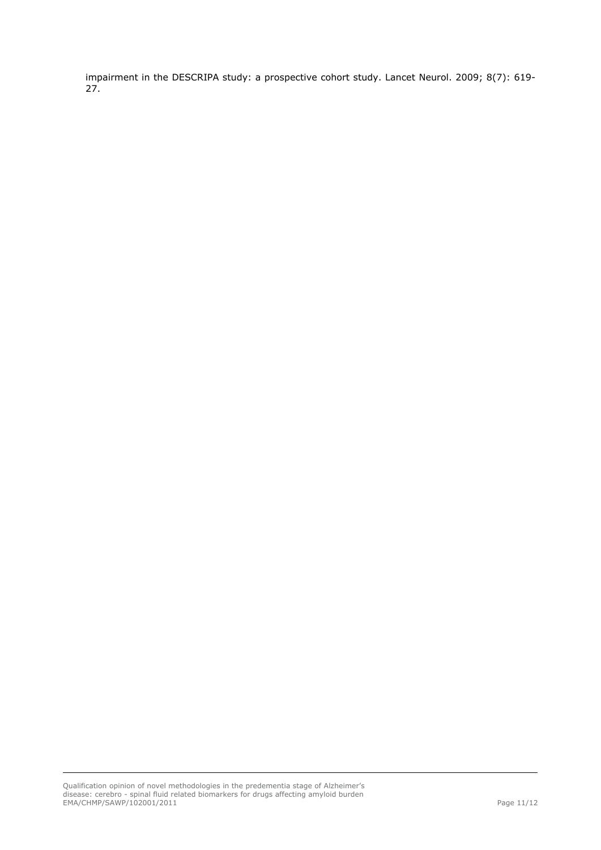impairment in the DESCRIPA study: a prospective cohort study. Lancet Neurol. 2009; 8(7): 619- 27.

Qualification opinion of novel methodologies in the predementia stage of Alzheimer's disease: cerebro - spinal fluid related biomarkers for drugs affecting amyloid burden EMA/CHMP/SAWP/102001/2011 Page 11/12